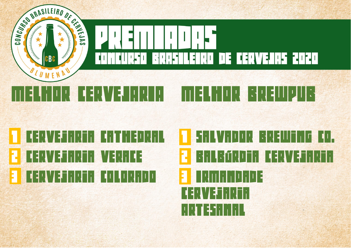

## **TA ELIX YEZHIRLER DE GARITANIEN DE GARI 2 ERVETHREI VERFIEL** 3 Cervejaria Colorado de Colorado de Colorado de Colorado de Colorado de Colorado de Colorado de Colorado de C<br>2000 - Colorado de Colorado de Colorado de Colorado de Colorado de Colorado de Colorado de Colorado de Colorad

1 Salvador Brewing Co. 2 Balbúrdia Cervejaria 3 Irmandade  $\begin{bmatrix} -1 \\ 1 \end{bmatrix}$ Artesanal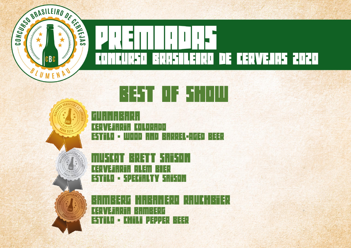



## <u>▚▎</u>▄▝▌▐▕▏▏▏▓▃▘▏▏▏▏▏▏



 $\lceil \mathsf{r} \rceil \mathsf{E} \rceil \mathsf{F} \lceil \mathsf{F} \rceil \mathsf{F} \lceil \mathsf{F} \rceil \mathsf{F} \lceil \mathsf{F} \rceil \mathsf{F} \rceil$ Cervejaria Colorado Estilo - Wood and Barrel-Aged Beer

│╌┤<u>╵</u>╎╶┪┢┎╩╺┥╌├─╎┥╷│╎ Cervejaria ALEM BIER Estilo - Specialty Saison

 $\frac{1}{2}$ bander Habaner (Frankrijk) er en de gemeente voor de gemeente van de gemeente van de gemeente van de gemeente van de gemeente van de gemeente van de gemeente van de gemeente van de gemeente van de gemeente van de <mark>Cervejaria Bamberg</mark> Estilo - Chili Pepper Beer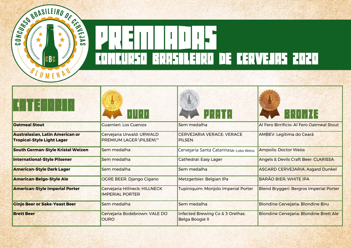

| ▝▐▏▐▏ <u></u> ▋▐▏▏▏▏▏▏                                               | $    \,    \,    \,    \,    \,   $                     | <b>PRANTA</b>                                              | <b>ERUM 43</b>                                 |
|----------------------------------------------------------------------|---------------------------------------------------------|------------------------------------------------------------|------------------------------------------------|
| <b>Oatmeal Stout</b>                                                 | Guarnieri: Los Cuervos                                  | Sem medalha                                                | Al Fero Birrificio: Al Fero Oatmeal Stout      |
| Australasian, Latin American or<br><b>Tropical-Style Light Lager</b> | Cervejaria Urwald: URWALD<br>PREMIUM LAGER \PILSEN\""   | CERVEJARIA VERACE: VERACE<br><b>PILSEN</b>                 | AMBEV: Legítima do Ceará                       |
| <b>South German-Style Kristal Weizen</b>                             | Sem medalha                                             | Cervejaria Santa Catarina Mr Lobo Weiss                    | Ampolis: Doctor Weiss                          |
| <b>International-Style Pilsener</b>                                  | Sem medalha                                             | Cathedral: Easy Lager                                      | Angels & Devils Craft Beer: CLARISSA           |
| <b>American-Style Dark Lager</b>                                     | Sem medalha                                             | Sem medalha                                                | <b>ASGARD CERVEJARIA: Asgard Dunkel</b>        |
| <b>American-Belgo-Style Ale</b>                                      | <b>OGRE BEER: Django Cigano</b>                         | Metzgerbier: Belgian IPa                                   | <b>BARÃO BIER: WHITE IPA</b>                   |
| <b>American-Style Imperial Porter</b>                                | Cervejaria Hillneck: HILLNECK<br><b>IMPERIAL PORTER</b> | Tupiniquim: Monjolo Imperial Porter                        | <b>Blend Bryggeri: Bergros Imperial Porter</b> |
| <b>Ginjo Beer or Sake-Yeast Beer</b>                                 | Sem medalha                                             | Sem medalha                                                | <b>Blondine Cervejaria: Blondine Biru</b>      |
| <b>Brett Beer</b>                                                    | Cervejaria Bodebrown: VALE DO<br><b>OURO</b>            | Infected Brewing Co & 3 Orelhas:<br><b>Belga Boogie II</b> | <b>Blondine Cervejaria: Blondine Brett Ale</b> |

M.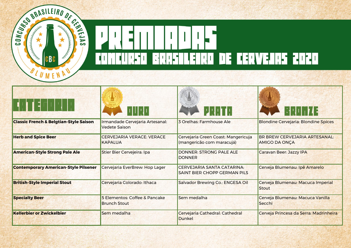

| ▝▐▏▊▝▌▔▎▏▎▏▘▏                                     |                                                         |                                                                   | ▐░▎▘▌▏▎▏┢▗▌▆▏                                                |
|---------------------------------------------------|---------------------------------------------------------|-------------------------------------------------------------------|--------------------------------------------------------------|
| <b>Classic French &amp; Belgtian-Style Saison</b> | Irmandade Cervejaria Artesanal:<br><b>Vedete Saison</b> | 3 Orelhas: Farmhouse Ale                                          | <b>Blondine Cervejaria: Blondine Spices</b>                  |
| <b>Herb and Spice Beer</b>                        | <b>CERVEJARIA VERACE: VERACE</b><br><b>KAPALUA</b>      | Cervejaria Green Coast: Mangericuja<br>(mangericão com maracujá)  | <b>BR BREW CERVEJARIA ARTESANAL:</b><br><b>AMIGO DA ONÇA</b> |
| <b>American-Style Strong Pale Ale</b>             | Stier Bier Cervejeira: Ipa                              | DONNER: STRONG PALE ALE<br><b>DONNER</b>                          | <b>Caravan Beer: Jazzy IPA</b>                               |
| <b>Contemporary American-Style Pilsener</b>       | Cervejaria EverBrew: Hop Lager                          | CERVEJARIA SANTA CATARINA:<br><b>SAINT BIER CHOPP GERMAN PILS</b> | Cerveja Blumenau: Ipê Amarelo                                |
| <b>British-Style Imperial Stout</b>               | Cervejaria Colorado: Ithaca                             | Salvador Brewing Co.: ENGESA Oil                                  | Cerveja Blumenau: Macuca Imperial<br><b>Stout</b>            |
| <b>Specialty Beer</b>                             | 5 Elementos: Coffee & Pancake<br><b>Brunch Stout</b>    | Sem medalha                                                       | Cerveja Blumenau: Macuca Vanilla<br>Secchi                   |
| <b>Kellerbier or Zwickelbier</b>                  | Sem medalha                                             | Cervejaria Cathedral: Cathedral<br>Dunkel                         | Cerveja Princesa da Serra: Madrinheira                       |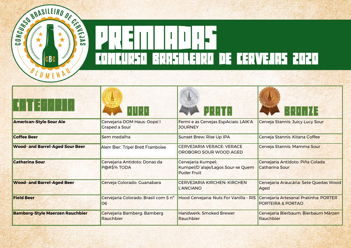

| ▌▐▏▊▕▏▏▏                               | a ya p                                               | <b>PRANTA</b>                                                                 | ▐░▎▏▏▏▏┢▗▎▆▏                                               |
|----------------------------------------|------------------------------------------------------|-------------------------------------------------------------------------------|------------------------------------------------------------|
| <b>American-Style Sour Ale</b>         | Cervejaria DOM Haus: Oops! I<br><b>Graped a Sour</b> | Fermi e as Cervejas EspAciais: LAIK'A<br><b>JOURNEY</b>                       | Cerveja Stannis: Juicy Lucy Sour                           |
| <b>Coffee Beer</b>                     | Sem medalha                                          | <b>Sunset Brew: Rise Up IPA</b>                                               | Cerveja Stannis: Kitana Coffee                             |
| <b>Wood- and Barrel-Aged Sour Beer</b> | Alem Bier: Tripel Brett Framboise                    | <b>CERVEJARIA VERACE: VERACE</b><br>OROBORO SOUR WOOD AGED                    | Cerveja Stannis: Mamma Sour                                |
| <b>Catharina Sour</b>                  | Cervejaria Antídoto: Donas da<br>P@#\$% TODA         | Cervejaria Kumpel:<br>Kumpel/D'alaje/Lagos Sour-se Quem<br><b>Puder Fruit</b> | Cervejaria Antídoto: Piña Colada<br><b>Catharina Sour</b>  |
| <b>Wood- and Barrel-Aged Beer</b>      | Cerveja Colorado: Guanabara                          | <b>CERVEJARIA KIRCHEN: KIRCHEN</b><br>L'ANCIANO                               | Cervejaria Araucária: Sete Quedas Wood<br>Aged             |
| <b>Field Beer</b>                      | Cervejaria Colorado: Brasil com S nº<br>06           | Hood Cervejaria: Nuts For Vanilla - RIS                                       | Cervejaria Artesanal Pratinha: PORTER<br>PORTEIRA & PORTAO |
| <b>Bamberg-Style Maerzen Rauchbier</b> | Cervejaria Bamberg: Bamberg<br>Rauchbier             | <b>Handwerk: Smoked Brewer</b><br>Rauchbier                                   | Cervejaria Bierbaum: Bierbaum Märzen<br>Rauchbier          |

S.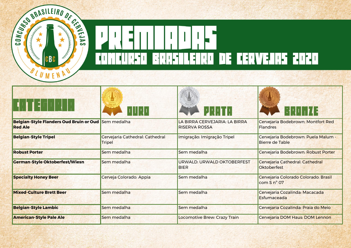

| ▐▏⊒▕▔▎▏▏▏▘                                                            | $    \,    \,    \,    \,    \,   $              | <b>PRAIN</b>                                          | 8990 M                                                        |
|-----------------------------------------------------------------------|--------------------------------------------------|-------------------------------------------------------|---------------------------------------------------------------|
| Belgian-Style Flanders Oud Bruin or Oud Sem medalha<br><b>Red Ale</b> |                                                  | LA BIRRA CERVEJARIA: LA BIRRA<br><b>RISERVA ROSSA</b> | Cervejaria Bodebrown: Montfort Red<br>Flandres                |
| <b>Belgian-Style Tripel</b>                                           | Cervejaria Cathedral: Cathedral<br><b>Tripel</b> | Imigração: Imigração Tripel                           | Cervejaria Bodebrown: Puela Malum -<br><b>Bierre de Table</b> |
| <b>Robust Porter</b>                                                  | Sem medalha                                      | Sem medalha                                           | Cervejaria Bodebrown: Robust Porter                           |
| <b>German-Style Oktoberfest/Wiesn</b>                                 | Sem medalha                                      | URWALD: URWALD OKTOBERFEST<br><b>BIER</b>             | Cervejaria Cathedral: Cathedral<br>Oktoberfest                |
| <b>Specialty Honey Beer</b>                                           | Cerveja Colorado: Appia                          | Sem medalha                                           | Cervejaria Colorado Colorado: Brasil<br>com S n° 07           |
| <b>Mixed-Culture Brett Beer</b>                                       | Sem medalha                                      | Sem medalha                                           | Cervejaria Cozalinda: Macacada<br>Esfumaceada                 |
| <b>Belgian-Style Lambic</b>                                           | Sem medalha                                      | Sem medalha                                           | Cervejaria Cozalinda: Praia do Meio                           |
| <b>American-Style Pale Ale</b>                                        | Sem medalha                                      | Locomotive Brew: Crazy Train                          | Cervejaria DOM Haus: DOM Lennon                               |

×.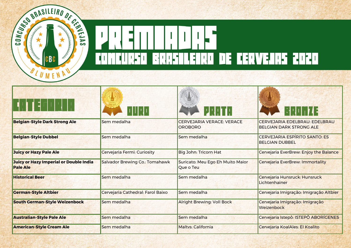

|                                                           | $    \,    \,    \,    \,    \,    \,$ | <b>PRIMER</b>                                      | 63 N D D <b>7 4 3</b>                                           |
|-----------------------------------------------------------|----------------------------------------|----------------------------------------------------|-----------------------------------------------------------------|
| <b>Belgian-Style Dark Strong Ale</b>                      | Sem medalha                            | <b>CERVEJARIA VERACE: VERACE</b><br><b>OROBORO</b> | CERVEJARIA EDELBRAU: EDELBRAU<br><b>BELGIAN DARK STRONG ALE</b> |
| <b>Belgian-Style Dubbel</b>                               | Sem medalha                            | Sem medalha                                        | <b>CERVEJARIA ESPÍRITO SANTO: ES</b><br><b>BELGIAN DUBBEL</b>   |
| Juicy or Hazy Pale Ale                                    | Cervejaria Fermi: Curiosity            | Big John: Tricorn Hat                              | Cervejaria EverBrew: Enjoy the Balance                          |
| Juicy or Hazy Imperial or Double India<br><b>Pale Ale</b> | Salvador Brewing Co.: Tomahawk         | Suricato: Meu Ego Eh Muito Maior<br>Que o Teu      | Cervejaria EverBrew: Immortality                                |
| <b>Historical Beer</b>                                    | Sem medalha                            | Sem medalha                                        | Cervejaria Hunsruck: Hunsruck<br>Lichtenhainer                  |
| <b>German-Style Altbier</b>                               | Cervejaria Cathedral: Farol Baixo      | Sem medalha                                        | Cervejaria Imigração: Imigração Altbier                         |
| <b>South German-Style Weizenbock</b>                      | Sem medalha                            | <b>Alright Brewing: Voll Bock</b>                  | Cervejaria Imigração: Imigração<br>Weizenbock                   |
| <b>Australian-Style Pale Ale</b>                          | Sem medalha                            | Sem medalha                                        | Cervejaria Istepô: ISTEPÔ ABORÍGENES                            |
| <b>American-Style Cream Ale</b>                           | Sem medalha                            | <b>Maltys: California</b>                          | Cervejaria KoalAles: El Koalito                                 |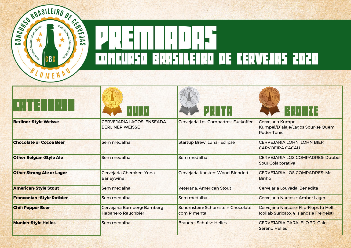

| THE ENTITLE                      | 1     1                                                    | <b>PERIMENT</b>                                   | E QU <sub>1</sub> 7 4 3                                                            |
|----------------------------------|------------------------------------------------------------|---------------------------------------------------|------------------------------------------------------------------------------------|
| <b>Berliner-Style Weisse</b>     | <b>CERVEJARIA LAGOS: ENSEADA</b><br><b>BERLINER WEISSE</b> | Cervejaria Los Compadres: Fuckoffee               | Cervejaria Kumpel.:<br>Kumpel/D'alaje/Lagos Sour-se Quem<br><b>Puder Tonic</b>     |
| <b>Chocolate or Cocoa Beer</b>   | Sem medalha                                                | <b>Startup Brew: Lunar Eclipse</b>                | <b>CERVEJARIA LOHN: LOHN BIER</b><br><b>CARVOEIRA CACAU</b>                        |
| <b>Other Belgian-Style Ale</b>   | Sem medalha                                                | Sem medalha                                       | <b>CERVEJARIA LOS COMPADRES: Dubbel</b><br>Sour Colaborativa                       |
| <b>Other Strong Ale or Lager</b> | Cervejaria Cherokee: Yona<br><b>Barleywine</b>             | Cervejaria Karsten: Wood Blended                  | <b>CERVEJARIA LOS COMPADRES: Mr.</b><br><b>Binho</b>                               |
| <b>American-Style Stout</b>      | Sem medalha                                                | Veterana: American Stout                          | Cervejaria Louvada: Benedita                                                       |
| <b>Franconian-Style Rotbier</b>  | Sem medalha                                                | Sem medalha                                       | Cervejaria Narcose: Amber Lager                                                    |
| <b>Chili Pepper Beer</b>         | Cervejaria Bamberg: Bamberg<br><b>Habanero Rauchbier</b>   | Schornstein: Schornstein Chocolate<br>com Pimenta | Cervejaria Narcose: Flip-Flops to Hell<br>(collab Suricato, 4 Islands e Freigeist) |
| <b>Munich-Style Helles</b>       | Sem medalha                                                | <b>Brauerei Schultz: Helles</b>                   | <b>CERVEJARIA PARALELO 30: Galo</b><br>Sereno Helles                               |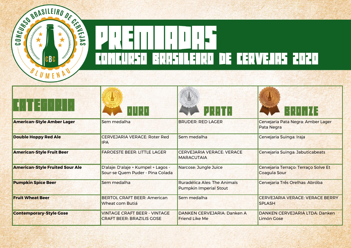

| ▝▐▌▐▌▔▌▏▏▎▏▏                           |                                                                         | <b>PRAIN</b>                                                  | ▐░▏░▌▏▏┢▗▎▆▏                                            |
|----------------------------------------|-------------------------------------------------------------------------|---------------------------------------------------------------|---------------------------------------------------------|
| <b>American-Style Amber Lager</b>      | Sem medalha                                                             | <b>BRUDER: RED LAGER</b>                                      | Cervejaria Pata Negra: Amber Lager<br><b>Pata Negra</b> |
| <b>Double Hoppy Red Ale</b>            | <b>CERVEJARIA VERACE: Roter Red</b><br><b>IPA</b>                       | Sem medalha                                                   | Cervejaria Suinga: Iraja                                |
| <b>American-Style Fruit Beer</b>       | <b>FAROESTE BEER: LITTLE LAGER</b>                                      | <b>CERVEJARIA VERACE: VERACE</b><br><b>MARACUTAIA</b>         | Cervejaria Suinga: Jabuticabeats                        |
| <b>American-Style Fruited Sour Ale</b> | D'alaje: D'alaje + Kumpel + Lagos -<br>Sour-se Quem Puder - Pina Colada | Narcose: Jungle Juice                                         | Cervejaria Terraço: Terraço Solve Et<br>Coagula Sour    |
| <b>Pumpkin Spice Beer</b>              | Sem medalha                                                             | Ruradélica Ales: The Animals<br><b>Pumpkin Imperial Stout</b> | Cervejaria Três Orelhas: Abróba                         |
| <b>Fruit Wheat Beer</b>                | <b>BERTOL CRAFT BEER: American</b><br>Wheat com Butiá                   | Sem medalha                                                   | <b>CERVEJARIA VERACE: VERACE BERRY</b><br><b>SPLASH</b> |
| <b>Contemporary-Style Gose</b>         | <b>VINTAGE CRAFT BEER - VINTAGE</b><br><b>CRAFT BEER: BRAZILIS GOSE</b> | DANKEN CERVEJARIA: Danken A<br><b>Friend Like Me</b>          | DANKEN CERVEJARIA LTDA: Danken<br>Limón Gose            |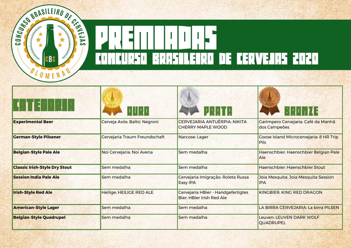

| THE ENTITLE                          | <u> HIII</u>                    | <b>PRETH</b>                                                           | ▐░▏░▌▏▏┢▗▎▆▏                                                  |
|--------------------------------------|---------------------------------|------------------------------------------------------------------------|---------------------------------------------------------------|
| <b>Experimental Beer</b>             | Cerveja Avós: Baltic Negroni    | CERVEJARIA ANTUÉRPIA: NIKITA<br><b>CHERRY MAPLE WOOD</b>               | Garimpero Cervejaria: Café da Manhã<br>dos Campeões           |
| <b>German-Style Pilsener</b>         | Cervejaria Traum Freundschaft   | Narcose: Lager                                                         | <b>Coose Island Microcervejaria: 8 HR Trip</b><br><b>Pils</b> |
| <b>Belgian-Style Pale Ale</b>        | Noi Cervejaria: Noi Avena       | Sem medalha                                                            | Haenschbier: Haenschbier Belgian Pale<br><b>Ale</b>           |
| <b>Classic Irish-Style Dry Stout</b> | Sem medalha                     | Sem medalha                                                            | Haenschbier: Haenschbier Stout                                |
| <b>Session India Pale Ale</b>        | Sem medalha                     | Cervejaria Imigração: Roleta Russa<br><b>Easy IPA</b>                  | Joia Mesquita: Joia Mesquita Session<br><b>IPA</b>            |
| <b>Irish-Style Red Ale</b>           | <b>Heilige: HEILIGE RED ALE</b> | Cervejaria HBier - Handgefertigtes<br><b>Bier: HBier Irish Red Ale</b> | KINGBIER: KING RED DRAGON                                     |
| <b>American-Style Lager</b>          | Sem medalha                     | Sem medalha                                                            | LA BIRRA CERVEJARIA: La birra PILSEN                          |
| <b>Belgian-Style Quadrupel</b>       | Sem medalha                     | Sem medalha                                                            | Leuven: LEUVEN DARK WOLF<br><b>QUADRUPEL</b>                  |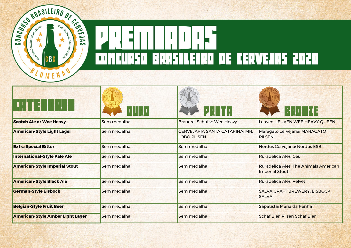

| ▝▐▏▊▝▌ <sup>┌</sup> ▏▏▎▏▘▍              | $          \cdot     $ | <b>PRETH</b>                                         | <b>BRONTAE</b>                                          |
|-----------------------------------------|------------------------|------------------------------------------------------|---------------------------------------------------------|
| <b>Scotch Ale or Wee Heavy</b>          | Sem medalha            | Brauerei Schultz: Wee Heavy                          | Leuven: LEUVEN WEE HEAVY QUEEN                          |
| <b>American-Style Light Lager</b>       | Sem medalha            | CERVEJARIA SANTA CATARINA: MR.<br><b>LOBO PILSEN</b> | Maragato cervejaria: MARAGATO<br><b>PILSEN</b>          |
| <b>Extra Special Bitter</b>             | Sem medalha            | Sem medalha                                          | Nordus Cervejaria: Nordus ESB                           |
| <b>International-Style Pale Ale</b>     | Sem medalha            | Sem medalha                                          | Ruradélica Ales: Céu                                    |
| <b>American-Style Imperial Stout</b>    | Sem medalha            | Sem medalha                                          | Ruradélica Ales: The Animals American<br>Imperial Stout |
| <b>American-Style Black Ale</b>         | Sem medalha            | Sem medalha                                          | Ruradelica Ales: Velvet                                 |
| <b>German-Style Eisbock</b>             | Sem medalha            | Sem medalha                                          | <b>SALVA CRAFT BREWERY: EISBOCK</b><br><b>SALVA</b>     |
| <b>Belgian-Style Fruit Beer</b>         | Sem medalha            | Sem medalha                                          | Sapatista: Maria da Penha                               |
| <b>American-Style Amber Light Lager</b> | Sem medalha            | Sem medalha                                          | <b>Schaf Bier: Pilsen Schaf Bier</b>                    |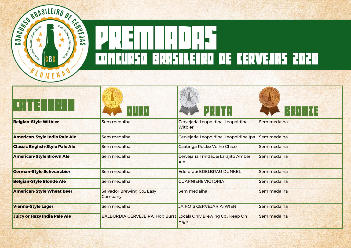

| Sem medalha                                  | Cervejaria Leopoldina: Leopoldina<br>Witbier | Sem medalha                                                      |
|----------------------------------------------|----------------------------------------------|------------------------------------------------------------------|
| Sem medalha                                  | Cervejaria Leopoldina: Leopoldina Ipa        | Sem medalha                                                      |
| Sem medalha                                  | Caatinga Rocks: Velho Chico                  | Sem medalha                                                      |
| Sem medalha                                  | Cervejaria Trindade: Larajito Amber<br>Ale   | Sem medalha                                                      |
| Sem medalha                                  | Edelbrau: EDELBRAU DUNKEL                    | Sem medalha                                                      |
| Sem medalha                                  | <b>GUARNIERI: VICTORIA</b>                   | Sem medalha                                                      |
| <b>Salvador Brewing Co.: Easy</b><br>Company | Sem medalha                                  | Sem medalha                                                      |
| Sem medalha                                  | <b>JAIRO'S CERVEJARIA: WIEN</b>              | Sem medalha                                                      |
|                                              | <b>High</b>                                  | Sem medalha                                                      |
|                                              |                                              | BALBÚRDIA CERVEJEIRA: Hop Burst Locals Only Brewing Co.: Keep On |

S.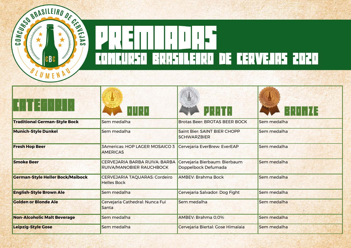

| THE ENTITY                              |                                                                         | <b>PERIMENT</b>                                      | ▏░▎░▌▏▏▕▛▟▗▜ |
|-----------------------------------------|-------------------------------------------------------------------------|------------------------------------------------------|--------------|
| <b>Traditional German-Style Bock</b>    | Sem medalha                                                             | <b>Brotas Beer: BROTAS BEER BOCK</b>                 | Sem medalha  |
| <b>Munich-Style Dunkel</b>              | Sem medalha                                                             | Saint Bier: SAINT BIER CHOPP<br><b>SCHWARZBIER</b>   | Sem medalha  |
| <b>Fresh Hop Beer</b>                   | <b>3Americas: HOP LAGER MOSAICO 3</b><br><b>AMERICAS</b>                | Cervejaria EverBrew: EverEAP                         | Sem medalha  |
| <b>Smoke Beer</b>                       | <b>CERVEJARIA BARBA RUIVA: BARBA</b><br><b>RUIVA/MANOBIER RAUCHBOCK</b> | Cervejaria Bierbaum: Bierbaum<br>Doppelbock Defumada | Sem medalha  |
| <b>German-Style Heller Bock/Maibock</b> | <b>CERVEJARIA TAQUARAS: Cordeiro</b><br><b>Helles Bock</b>              | <b>AMBEV: Brahma Bock</b>                            | Sem medalha  |
| <b>English-Style Brown Ale</b>          | Sem medalha                                                             | Cervejaria Salvador: Dog Fight                       | Sem medalha  |
| <b>Golden or Blonde Ale</b>             | Cervejaria Cathedral: Nunca Fui<br>Santa                                | Sem medalha                                          | Sem medalha  |
| <b>Non-Alcoholic Malt Beverage</b>      | Sem medalha                                                             | AMBEV: Brahma 0,0%                                   | Sem medalha  |
| <b>Leipzig-Style Gose</b>               | Sem medalha                                                             | Cervejaria Biertal: Gose Himalaia                    | Sem medalha  |

M.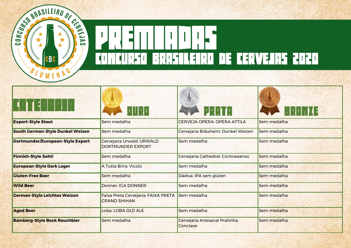

| ▐▏ᅼ┌╎╷│╵│                               |                                                            | PRAIA 202<br><b>PRAIN</b>                  | 63 A J I I I V 4 3 |
|-----------------------------------------|------------------------------------------------------------|--------------------------------------------|--------------------|
| <b>Export-Style Stout</b>               | Sem medalha                                                | <b>CERVEJA OPERA: OPERA ATTILA</b>         | Sem medalha        |
| <b>South German-Style Dunkel Weizen</b> | Sem medalha                                                | Cervejaria Bräuheim: Dunkel Weizen         | Sem medalha        |
| <b>Dortmunder/European-Style Export</b> | Cervejaria Urwald: URWALD<br><b>DORTMUNDER EXPORT</b>      | Sem medalha                                | Sem medalha        |
| <b>Finnish-Style Sahti</b>              | Sem medalha                                                | Cervejaria Cathedral: Contrassenso         | Sem medalha        |
| <b>European-Style Dark Lager</b>        | A Tutta Birra: Vicolo                                      | Sem medalha                                | Sem medalha        |
| <b>Gluten-Free Beer</b>                 | Sem medalha                                                | Dádiva: IPA sem glúten                     | Sem medalha        |
| <b>Wild Beer</b>                        | <b>Donner: IGA DONNER</b>                                  | Sem medalha                                | Sem medalha        |
| <b>German-Style Leichtes Weizen</b>     | Faixa Preta Cervejaria: FAIXA PRETA<br><b>GRAND SHIHAN</b> | Sem medalha                                | Sem medalha        |
| <b>Aged Beer</b>                        | Loba: LOBA OLD ALE                                         | Sem medalha                                | Sem medalha        |
| <b>Bamberg-Style Bock Rauchbier</b>     | Sem medalha                                                | Cervejaria Artesanal Pratinha:<br>Conclave | Sem medalha        |
|                                         |                                                            |                                            |                    |

M.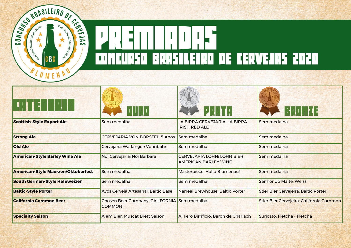

|                                           |                                                              | 2201                                                      | ▐░▎░▌▏▏┢▗▎▆▏                                |  |
|-------------------------------------------|--------------------------------------------------------------|-----------------------------------------------------------|---------------------------------------------|--|
| <b>Scottish-Style Export Ale</b>          | Sem medalha                                                  | LA BIRRA CERVEJARIA: LA BIRRA<br><b>IRISH RED ALE</b>     | Sem medalha                                 |  |
| <b>Strong Ale</b>                         | <b>CERVEJARIA VON BORSTEL: 5 Anos</b>                        | Sem medalha                                               | Sem medalha                                 |  |
| <b>Old Ale</b>                            | Cervejaria Walfänger: Vennbahn                               | Sem medalha                                               | Sem medalha                                 |  |
| <b>American-Style Barley Wine Ale</b>     | Noi Cervejaria: Noi Bárbara                                  | <b>CERVEJARIA LOHN: LOHN BIER</b><br>AMERICAN BARLEY WINE | Sem medalha                                 |  |
| <b>American-Style Maerzen/Oktoberfest</b> | Sem medalha                                                  | Masterpiece: Hallo Blumenau!                              | Sem medalha                                 |  |
| <b>South German-Style Hefeweizen</b>      | Sem medalha                                                  | Sem medalha                                               | Senhor do Malte: Weiss                      |  |
| <b>Baltic-Style Porter</b>                | Avós Cerveja Artesanal: Baltic Base                          | <b>Narreal Brewhouse: Baltic Porter</b>                   | <b>Stier Bier Cervejeira: Baltic Porter</b> |  |
| <b>California Common Beer</b>             | Chosen Beer Company: CALIFORNIA Sem medalha<br><b>COMMON</b> |                                                           | Stier Bier Cervejeira: California Common    |  |
| <b>Specialty Saison</b>                   | Alem Bier: Muscat Brett Saison                               | Al Fero Birrificio: Baron de Charlach                     | Suricato: Fletcha - Fletcha                 |  |
|                                           |                                                              |                                                           |                                             |  |